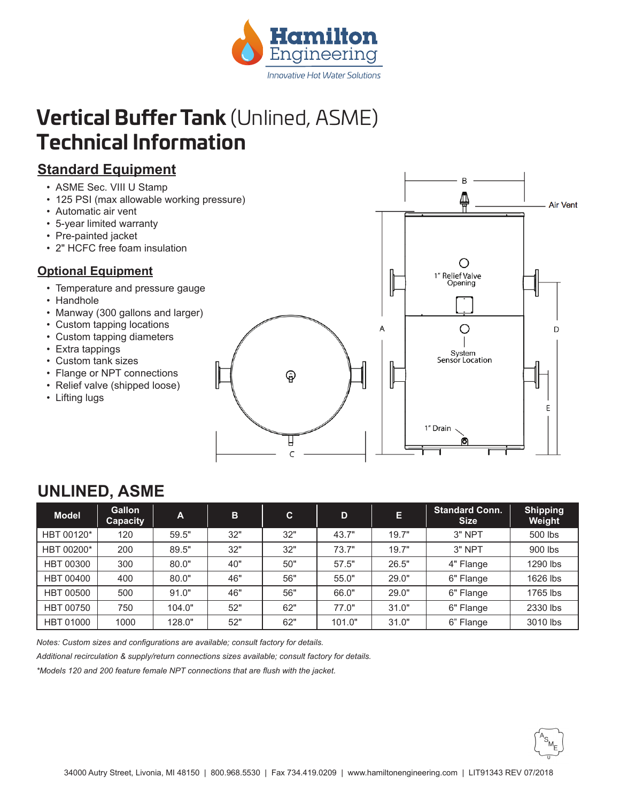

# **Vertical Buffer Tank** (Unlined, ASME) **Technical Information**

## **Standard Equipment**

- ASME Sec. VIII U Stamp
- 125 PSI (max allowable working pressure)
- Automatic air vent
- 5-year limited warranty
- Pre-painted jacket
- 2" HCFC free foam insulation

#### **Optional Equipment**

- Temperature and pressure gauge
- Handhole
- Manway (300 gallons and larger)
- Custom tapping locations
- Custom tapping diameters
- Extra tappings
- Custom tank sizes
- Flange or NPT connections
- Relief valve (shipped loose)
- Lifting lugs



| <b>Model</b>     | <b>Gallon</b><br>Capacity | $\mathbf{A}$ | B   | C.  | D      | Е     | <b>Standard Conn.</b><br><b>Size</b> | <b>Shipping</b><br>Weight |
|------------------|---------------------------|--------------|-----|-----|--------|-------|--------------------------------------|---------------------------|
| HBT 00120*       | 120                       | 59.5"        | 32" | 32" | 43.7"  | 19.7" | 3" NPT                               | 500 lbs                   |
| HBT 00200*       | 200                       | 89.5"        | 32" | 32" | 73.7"  | 19.7" | 3" NPT                               | 900 lbs                   |
| <b>HBT 00300</b> | 300                       | 80.0"        | 40" | 50" | 57.5"  | 26.5" | 4" Flange                            | 1290 lbs                  |
| <b>HBT 00400</b> | 400                       | 80.0"        | 46" | 56" | 55.0"  | 29.0" | 6" Flange                            | 1626 lbs                  |
| <b>HBT 00500</b> | 500                       | 91.0"        | 46" | 56" | 66.0"  | 29.0" | 6" Flange                            | 1765 lbs                  |
| <b>HBT 00750</b> | 750                       | 104.0"       | 52" | 62" | 77.0"  | 31.0" | 6" Flange                            | 2330 lbs                  |
| <b>HBT 01000</b> | 1000                      | 128.0"       | 52" | 62" | 101.0" | 31.0" | 6" Flange                            | 3010 lbs                  |

## **UNLINED, ASME**

*Notes: Custom sizes and configurations are available; consult factory for details.*

*Additional recirculation & supply/return connections sizes available; consult factory for details.*

*\*Models 120 and 200 feature female NPT connections that are flush with the jacket.*